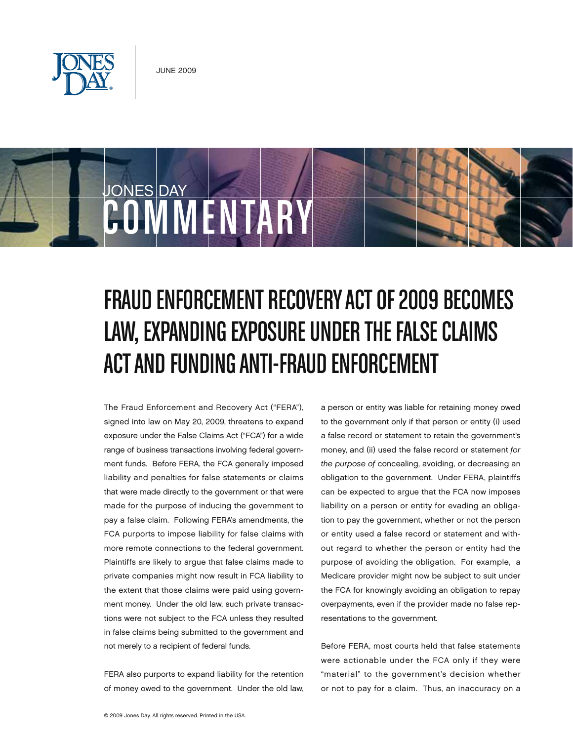

COMMENTARY

JONES DAY

# FRAUD ENFORCEMENT RECOVERY ACT OF 2009 BECOMES LAW, EXPANDING EXPOSURE UNDER THE FALSE CLAIMS Actand Funding Anti-Fraud Enforcement

The Fraud Enforcement and Recovery Act ("FERA"), signed into law on May 20, 2009, threatens to expand exposure under the False Claims Act ("FCA") for a wide range of business transactions involving federal government funds. Before FERA, the FCA generally imposed liability and penalties for false statements or claims that were made directly to the government or that were made for the purpose of inducing the government to pay a false claim. Following FERA's amendments, the FCA purports to impose liability for false claims with more remote connections to the federal government. Plaintiffs are likely to argue that false claims made to private companies might now result in FCA liability to the extent that those claims were paid using government money. Under the old law, such private transactions were not subject to the FCA unless they resulted in false claims being submitted to the government and not merely to a recipient of federal funds.

FERA also purports to expand liability for the retention of money owed to the government. Under the old law, a person or entity was liable for retaining money owed to the government only if that person or entity (i) used a false record or statement to retain the government's money, and (ii) used the false record or statement for the purpose of concealing, avoiding, or decreasing an obligation to the government. Under FERA, plaintiffs can be expected to argue that the FCA now imposes liability on a person or entity for evading an obligation to pay the government, whether or not the person or entity used a false record or statement and without regard to whether the person or entity had the purpose of avoiding the obligation. For example, a Medicare provider might now be subject to suit under the FCA for knowingly avoiding an obligation to repay overpayments, even if the provider made no false representations to the government.

Before FERA, most courts held that false statements were actionable under the FCA only if they were "material" to the government's decision whether or not to pay for a claim. Thus, an inaccuracy on a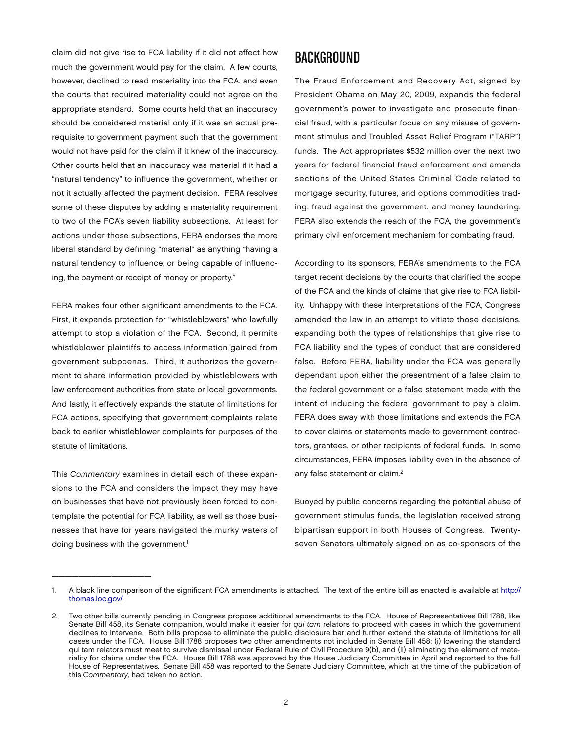claim did not give rise to FCA liability if it did not affect how much the government would pay for the claim. A few courts, however, declined to read materiality into the FCA, and even the courts that required materiality could not agree on the appropriate standard. Some courts held that an inaccuracy should be considered material only if it was an actual prerequisite to government payment such that the government would not have paid for the claim if it knew of the inaccuracy. Other courts held that an inaccuracy was material if it had a "natural tendency" to influence the government, whether or not it actually affected the payment decision. FERA resolves some of these disputes by adding a materiality requirement to two of the FCA's seven liability subsections. At least for actions under those subsections, FERA endorses the more liberal standard by defining "material" as anything "having a natural tendency to influence, or being capable of influencing, the payment or receipt of money or property."

FERA makes four other significant amendments to the FCA. First, it expands protection for "whistleblowers" who lawfully attempt to stop a violation of the FCA. Second, it permits whistleblower plaintiffs to access information gained from government subpoenas. Third, it authorizes the government to share information provided by whistleblowers with law enforcement authorities from state or local governments. And lastly, it effectively expands the statute of limitations for FCA actions, specifying that government complaints relate back to earlier whistleblower complaints for purposes of the statute of limitations.

This Commentary examines in detail each of these expansions to the FCA and considers the impact they may have on businesses that have not previously been forced to contemplate the potential for FCA liability, as well as those businesses that have for years navigated the murky waters of doing business with the government.<sup>1</sup>

 $\overline{\phantom{a}}$  , and the set of the set of the set of the set of the set of the set of the set of the set of the set of the set of the set of the set of the set of the set of the set of the set of the set of the set of the s

#### **BACKGROUND**

The Fraud Enforcement and Recovery Act, signed by President Obama on May 20, 2009, expands the federal government's power to investigate and prosecute financial fraud, with a particular focus on any misuse of government stimulus and Troubled Asset Relief Program ("TARP") funds. The Act appropriates \$532 million over the next two years for federal financial fraud enforcement and amends sections of the United States Criminal Code related to mortgage security, futures, and options commodities trading; fraud against the government; and money laundering. FERA also extends the reach of the FCA, the government's primary civil enforcement mechanism for combating fraud.

According to its sponsors, FERA's amendments to the FCA target recent decisions by the courts that clarified the scope of the FCA and the kinds of claims that give rise to FCA liability. Unhappy with these interpretations of the FCA, Congress amended the law in an attempt to vitiate those decisions, expanding both the types of relationships that give rise to FCA liability and the types of conduct that are considered false. Before FERA, liability under the FCA was generally dependant upon either the presentment of a false claim to the federal government or a false statement made with the intent of inducing the federal government to pay a claim. FERA does away with those limitations and extends the FCA to cover claims or statements made to government contractors, grantees, or other recipients of federal funds. In some circumstances, FERA imposes liability even in the absence of any false statement or claim.2

Buoyed by public concerns regarding the potential abuse of government stimulus funds, the legislation received strong bipartisan support in both Houses of Congress. Twentyseven Senators ultimately signed on as co-sponsors of the

<sup>1.</sup> A black line comparison of the significant FCA amendments is attached. The text of the entire bill as enacted is available at [http://](http://thomas.loc.gov/) [thomas.loc.gov/.](http://thomas.loc.gov/)

<sup>2.</sup> Two other bills currently pending in Congress propose additional amendments to the FCA. House of Representatives Bill 1788, like Senate Bill 458, its Senate companion, would make it easier for qui tam relators to proceed with cases in which the government declines to intervene. Both bills propose to eliminate the public disclosure bar and further extend the statute of limitations for all cases under the FCA. House Bill 1788 proposes two other amendments not included in Senate Bill 458: (i) lowering the standard qui tam relators must meet to survive dismissal under Federal Rule of Civil Procedure 9(b), and (ii) eliminating the element of materiality for claims under the FCA. House Bill 1788 was approved by the House Judiciary Committee in April and reported to the full House of Representatives. Senate Bill 458 was reported to the Senate Judiciary Committee, which, at the time of the publication of this Commentary, had taken no action.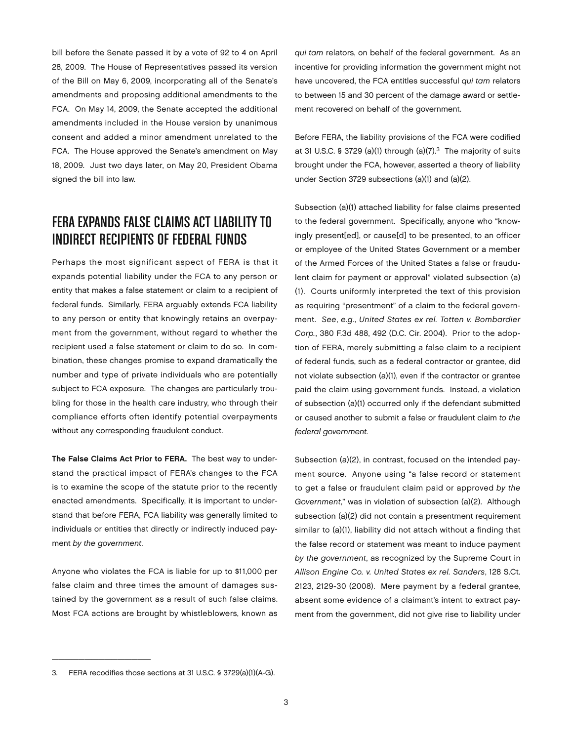bill before the Senate passed it by a vote of 92 to 4 on April 28, 2009. The House of Representatives passed its version of the Bill on May 6, 2009, incorporating all of the Senate's amendments and proposing additional amendments to the FCA. On May 14, 2009, the Senate accepted the additional amendments included in the House version by unanimous consent and added a minor amendment unrelated to the FCA. The House approved the Senate's amendment on May 18, 2009. Just two days later, on May 20, President Obama signed the bill into law.

#### FERA Expands False Claims Act Liability to Indirect Recipients of Federal Funds

Perhaps the most significant aspect of FERA is that it expands potential liability under the FCA to any person or entity that makes a false statement or claim to a recipient of federal funds. Similarly, FERA arguably extends FCA liability to any person or entity that knowingly retains an overpayment from the government, without regard to whether the recipient used a false statement or claim to do so. In combination, these changes promise to expand dramatically the number and type of private individuals who are potentially subject to FCA exposure. The changes are particularly troubling for those in the health care industry, who through their compliance efforts often identify potential overpayments without any corresponding fraudulent conduct.

The False Claims Act Prior to FERA. The best way to understand the practical impact of FERA's changes to the FCA is to examine the scope of the statute prior to the recently enacted amendments. Specifically, it is important to understand that before FERA, FCA liability was generally limited to individuals or entities that directly or indirectly induced payment by the government.

Anyone who violates the FCA is liable for up to \$11,000 per false claim and three times the amount of damages sustained by the government as a result of such false claims. Most FCA actions are brought by whistleblowers, known as qui tam relators, on behalf of the federal government. As an incentive for providing information the government might not have uncovered, the FCA entitles successful qui tam relators to between 15 and 30 percent of the damage award or settlement recovered on behalf of the government.

Before FERA, the liability provisions of the FCA were codified at 31 U.S.C. § 3729 (a)(1) through (a)(7). $3$  The majority of suits brought under the FCA, however, asserted a theory of liability under Section 3729 subsections (a)(1) and (a)(2).

Subsection (a)(1) attached liability for false claims presented to the federal government. Specifically, anyone who "knowingly present[ed], or cause[d] to be presented, to an officer or employee of the United States Government or a member of the Armed Forces of the United States a false or fraudulent claim for payment or approval" violated subsection (a) (1). Courts uniformly interpreted the text of this provision as requiring "presentment" of a claim to the federal government. See, e.g., United States ex rel. Totten v. Bombardier Corp., 380 F.3d 488, 492 (D.C. Cir. 2004). Prior to the adoption of FERA, merely submitting a false claim to a recipient of federal funds, such as a federal contractor or grantee, did not violate subsection (a)(1), even if the contractor or grantee paid the claim using government funds. Instead, a violation of subsection (a)(1) occurred only if the defendant submitted or caused another to submit a false or fraudulent claim to the federal government.

Subsection (a)(2), in contrast, focused on the intended payment source. Anyone using "a false record or statement to get a false or fraudulent claim paid or approved by the Government," was in violation of subsection (a)(2). Although subsection (a)(2) did not contain a presentment requirement similar to (a)(1), liability did not attach without a finding that the false record or statement was meant to induce payment by the government, as recognized by the Supreme Court in Allison Engine Co. v. United States ex rel. Sanders, 128 S.Ct. 2123, 2129-30 (2008). Mere payment by a federal grantee, absent some evidence of a claimant's intent to extract payment from the government, did not give rise to liability under

 $\frac{1}{2}$  ,  $\frac{1}{2}$  ,  $\frac{1}{2}$  ,  $\frac{1}{2}$  ,  $\frac{1}{2}$  ,  $\frac{1}{2}$  ,  $\frac{1}{2}$  ,  $\frac{1}{2}$  ,  $\frac{1}{2}$  ,  $\frac{1}{2}$  ,  $\frac{1}{2}$  ,  $\frac{1}{2}$  ,  $\frac{1}{2}$  ,  $\frac{1}{2}$  ,  $\frac{1}{2}$  ,  $\frac{1}{2}$  ,  $\frac{1}{2}$  ,  $\frac{1}{2}$  ,  $\frac{1$ 

<sup>3.</sup> FERA recodifies those sections at 31 U.S.C. § 3729(a)(1)(A-G).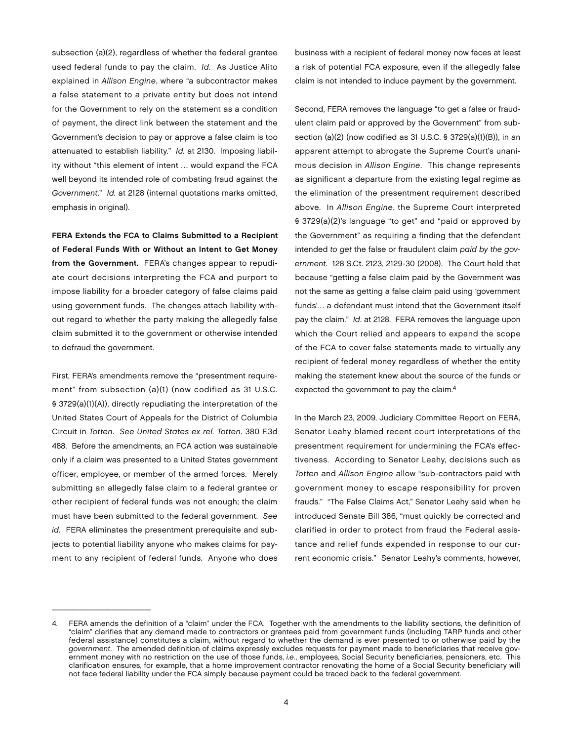subsection (a)(2), regardless of whether the federal grantee used federal funds to pay the claim. Id. As Justice Alito explained in Allison Engine, where "a subcontractor makes a false statement to a private entity but does not intend for the Government to rely on the statement as a condition of payment, the direct link between the statement and the Government's decision to pay or approve a false claim is too attenuated to establish liability." Id. at 2130. Imposing liability without "this element of intent … would expand the FCA well beyond its intended role of combating fraud against the Government." Id. at 2128 (internal quotations marks omitted, emphasis in original).

FERA Extends the FCA to Claims Submitted to a Recipient of Federal Funds With or Without an Intent to Get Money from the Government. FERA's changes appear to repudiate court decisions interpreting the FCA and purport to impose liability for a broader category of false claims paid using government funds. The changes attach liability without regard to whether the party making the allegedly false claim submitted it to the government or otherwise intended to defraud the government.

First, FERA's amendments remove the "presentment requirement" from subsection (a)(1) (now codified as 31 U.S.C. § 3729(a)(1)(A)), directly repudiating the interpretation of the United States Court of Appeals for the District of Columbia Circuit in Totten. See United States ex rel. Totten, 380 F.3d 488. Before the amendments, an FCA action was sustainable only if a claim was presented to a United States government officer, employee, or member of the armed forces. Merely submitting an allegedly false claim to a federal grantee or other recipient of federal funds was not enough; the claim must have been submitted to the federal government. See id. FERA eliminates the presentment prerequisite and subjects to potential liability anyone who makes claims for payment to any recipient of federal funds. Anyone who does

\_\_\_\_\_\_\_\_\_\_\_\_\_\_\_

business with a recipient of federal money now faces at least a risk of potential FCA exposure, even if the allegedly false claim is not intended to induce payment by the government.

Second, FERA removes the language "to get a false or fraudulent claim paid or approved by the Government" from subsection (a)(2) (now codified as 31 U.S.C. § 3729(a)(1)(B)), in an apparent attempt to abrogate the Supreme Court's unanimous decision in Allison Engine. This change represents as significant a departure from the existing legal regime as the elimination of the presentment requirement described above. In Allison Engine, the Supreme Court interpreted § 3729(a)(2)'s language "to get" and "paid or approved by the Government" as requiring a finding that the defendant intended to get the false or fraudulent claim paid by the government. 128 S.Ct. 2123, 2129-30 (2008). The Court held that because "getting a false claim paid by the Government was not the same as getting a false claim paid using 'government funds'… a defendant must intend that the Government itself pay the claim." Id. at 2128. FERA removes the language upon which the Court relied and appears to expand the scope of the FCA to cover false statements made to virtually any recipient of federal money regardless of whether the entity making the statement knew about the source of the funds or expected the government to pay the claim.4

In the March 23, 2009, Judiciary Committee Report on FERA, Senator Leahy blamed recent court interpretations of the presentment requirement for undermining the FCA's effectiveness. According to Senator Leahy, decisions such as Totten and Allison Engine allow "sub-contractors paid with government money to escape responsibility for proven frauds." "The False Claims Act," Senator Leahy said when he introduced Senate Bill 386, "must quickly be corrected and clarified in order to protect from fraud the Federal assistance and relief funds expended in response to our current economic crisis." Senator Leahy's comments, however,

<sup>4.</sup> FERA amends the definition of a "claim" under the FCA. Together with the amendments to the liability sections, the definition of "claim" clarifies that any demand made to contractors or grantees paid from government funds (including TARP funds and other federal assistance) constitutes a claim, without regard to whether the demand is ever presented to or otherwise paid by the government. The amended definition of claims expressly excludes requests for payment made to beneficiaries that receive government money with no restriction on the use of those funds, i.e., employees, Social Security beneficiaries, pensioners, etc. This clarification ensures, for example, that a home improvement contractor renovating the home of a Social Security beneficiary will not face federal liability under the FCA simply because payment could be traced back to the federal government.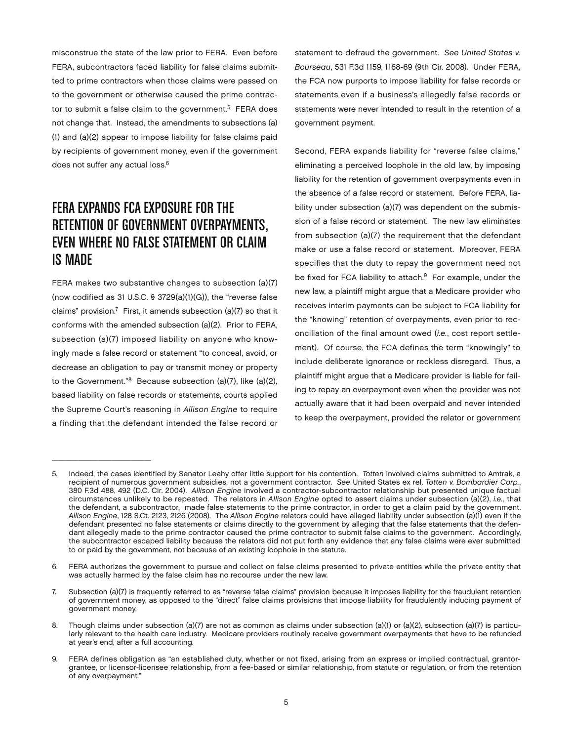misconstrue the state of the law prior to FERA. Even before FERA, subcontractors faced liability for false claims submitted to prime contractors when those claims were passed on to the government or otherwise caused the prime contractor to submit a false claim to the government.<sup>5</sup> FERA does not change that. Instead, the amendments to subsections (a) (1) and (a)(2) appear to impose liability for false claims paid by recipients of government money, even if the government does not suffer any actual loss.<sup>6</sup>

## FERA EXPANDS FCA EXPOSURE FOR THE RETENTION OF GOVERNMENT OVERPAYMENTS, Even Where No False Statement or Claim is Made

FERA makes two substantive changes to subsection (a)(7) (now codified as 31 U.S.C. § 3729(a)(1)(G)), the "reverse false claims" provision.<sup>7</sup> First, it amends subsection (a)(7) so that it conforms with the amended subsection (a)(2). Prior to FERA, subsection (a)(7) imposed liability on anyone who knowingly made a false record or statement "to conceal, avoid, or decrease an obligation to pay or transmit money or property to the Government."8 Because subsection (a)(7), like (a)(2), based liability on false records or statements, courts applied the Supreme Court's reasoning in Allison Engine to require a finding that the defendant intended the false record or

\_\_\_\_\_\_\_\_\_\_\_\_\_\_\_

statement to defraud the government. See United States v. Bourseau, 531 F.3d 1159, 1168-69 (9th Cir. 2008). Under FERA, the FCA now purports to impose liability for false records or statements even if a business's allegedly false records or statements were never intended to result in the retention of a government payment.

Second, FERA expands liability for "reverse false claims," eliminating a perceived loophole in the old law, by imposing liability for the retention of government overpayments even in the absence of a false record or statement. Before FERA, liability under subsection (a)(7) was dependent on the submission of a false record or statement. The new law eliminates from subsection (a)(7) the requirement that the defendant make or use a false record or statement. Moreover, FERA specifies that the duty to repay the government need not be fixed for FCA liability to attach.<sup>9</sup> For example, under the new law, a plaintiff might argue that a Medicare provider who receives interim payments can be subject to FCA liability for the "knowing" retention of overpayments, even prior to reconciliation of the final amount owed (i.e., cost report settlement). Of course, the FCA defines the term "knowingly" to include deliberate ignorance or reckless disregard. Thus, a plaintiff might argue that a Medicare provider is liable for failing to repay an overpayment even when the provider was not actually aware that it had been overpaid and never intended to keep the overpayment, provided the relator or government

Indeed, the cases identified by Senator Leahy offer little support for his contention. Totten involved claims submitted to Amtrak, a recipient of numerous government subsidies, not a government contractor. See United States ex rel. Totten v. Bombardier Corp., 380 F.3d 488, 492 (D.C. Cir. 2004). Allison Engine involved a contractor-subcontractor relationship but presented unique factual circumstances unlikely to be repeated. The relators in Allison Engine opted to assert claims under subsection (a)(2), i.e., that the defendant, a subcontractor, made false statements to the prime contractor, in order to get a claim paid by the government. Allison Engine, 128 S.Ct. 2123, 2126 (2008). The Allison Engine relators could have alleged liability under subsection (a)(1) even if the defendant presented no false statements or claims directly to the government by alleging that the false statements that the defendant allegedly made to the prime contractor caused the prime contractor to submit false claims to the government. Accordingly, the subcontractor escaped liability because the relators did not put forth any evidence that any false claims were ever submitted to or paid by the government, not because of an existing loophole in the statute.

<sup>6.</sup> FERA authorizes the government to pursue and collect on false claims presented to private entities while the private entity that was actually harmed by the false claim has no recourse under the new law.

<sup>7.</sup> Subsection (a)(7) is frequently referred to as "reverse false claims" provision because it imposes liability for the fraudulent retention of government money, as opposed to the "direct" false claims provisions that impose liability for fraudulently inducing payment of government money.

<sup>8.</sup> Though claims under subsection (a)(7) are not as common as claims under subsection (a)(1) or (a)(2), subsection (a)(7) is particularly relevant to the health care industry. Medicare providers routinely receive government overpayments that have to be refunded at year's end, after a full accounting.

<sup>9.</sup> FERA defines obligation as "an established duty, whether or not fixed, arising from an express or implied contractual, grantorgrantee, or licensor-licensee relationship, from a fee-based or similar relationship, from statute or regulation, or from the retention of any overpayment."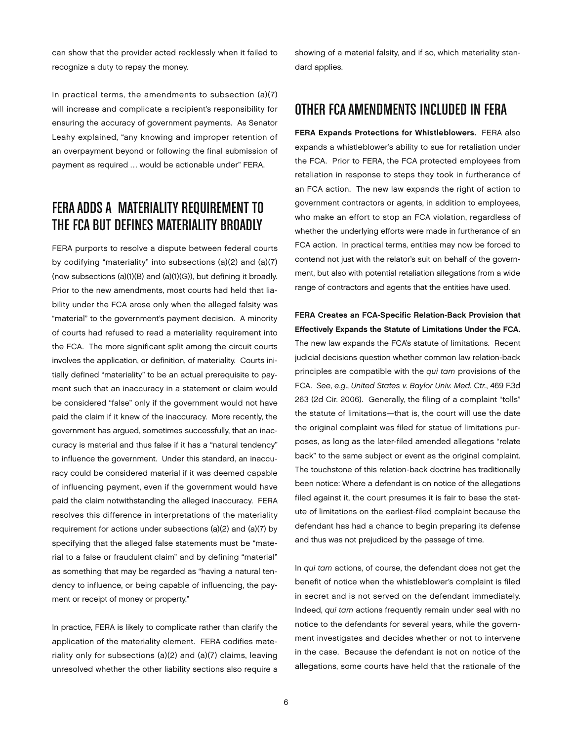can show that the provider acted recklessly when it failed to recognize a duty to repay the money.

In practical terms, the amendments to subsection (a)(7) will increase and complicate a recipient's responsibility for ensuring the accuracy of government payments. As Senator Leahy explained, "any knowing and improper retention of an overpayment beyond or following the final submission of payment as required … would be actionable under" FERA.

## FERA Adds a Materiality Requirement to the FCA but Defines Materiality Broadly

FERA purports to resolve a dispute between federal courts by codifying "materiality" into subsections (a)(2) and (a)(7) (now subsections (a)(1)(B) and (a)(1)(G)), but defining it broadly. Prior to the new amendments, most courts had held that liability under the FCA arose only when the alleged falsity was "material" to the government's payment decision. A minority of courts had refused to read a materiality requirement into the FCA. The more significant split among the circuit courts involves the application, or definition, of materiality. Courts initially defined "materiality" to be an actual prerequisite to payment such that an inaccuracy in a statement or claim would be considered "false" only if the government would not have paid the claim if it knew of the inaccuracy. More recently, the government has argued, sometimes successfully, that an inaccuracy is material and thus false if it has a "natural tendency" to influence the government. Under this standard, an inaccuracy could be considered material if it was deemed capable of influencing payment, even if the government would have paid the claim notwithstanding the alleged inaccuracy. FERA resolves this difference in interpretations of the materiality requirement for actions under subsections (a)(2) and (a)(7) by specifying that the alleged false statements must be "material to a false or fraudulent claim" and by defining "material" as something that may be regarded as "having a natural tendency to influence, or being capable of influencing, the payment or receipt of money or property."

In practice, FERA is likely to complicate rather than clarify the application of the materiality element. FERA codifies materiality only for subsections (a)(2) and (a)(7) claims, leaving unresolved whether the other liability sections also require a

showing of a material falsity, and if so, which materiality standard applies.

#### Other FCA Amendments Included in FERA

FERA Expands Protections for Whistleblowers. FERA also expands a whistleblower's ability to sue for retaliation under the FCA. Prior to FERA, the FCA protected employees from retaliation in response to steps they took in furtherance of an FCA action. The new law expands the right of action to government contractors or agents, in addition to employees, who make an effort to stop an FCA violation, regardless of whether the underlying efforts were made in furtherance of an FCA action. In practical terms, entities may now be forced to contend not just with the relator's suit on behalf of the government, but also with potential retaliation allegations from a wide range of contractors and agents that the entities have used.

FERA Creates an FCA-Specific Relation-Back Provision that Effectively Expands the Statute of Limitations Under the FCA. The new law expands the FCA's statute of limitations. Recent judicial decisions question whether common law relation-back principles are compatible with the qui tam provisions of the FCA. See, e.g., United States v. Baylor Univ. Med. Ctr., 469 F.3d 263 (2d Cir. 2006). Generally, the filing of a complaint "tolls" the statute of limitations—that is, the court will use the date the original complaint was filed for statue of limitations purposes, as long as the later-filed amended allegations "relate back" to the same subject or event as the original complaint. The touchstone of this relation-back doctrine has traditionally been notice: Where a defendant is on notice of the allegations filed against it, the court presumes it is fair to base the statute of limitations on the earliest-filed complaint because the defendant has had a chance to begin preparing its defense and thus was not prejudiced by the passage of time.

In qui tam actions, of course, the defendant does not get the benefit of notice when the whistleblower's complaint is filed in secret and is not served on the defendant immediately. Indeed, qui tam actions frequently remain under seal with no notice to the defendants for several years, while the government investigates and decides whether or not to intervene in the case. Because the defendant is not on notice of the allegations, some courts have held that the rationale of the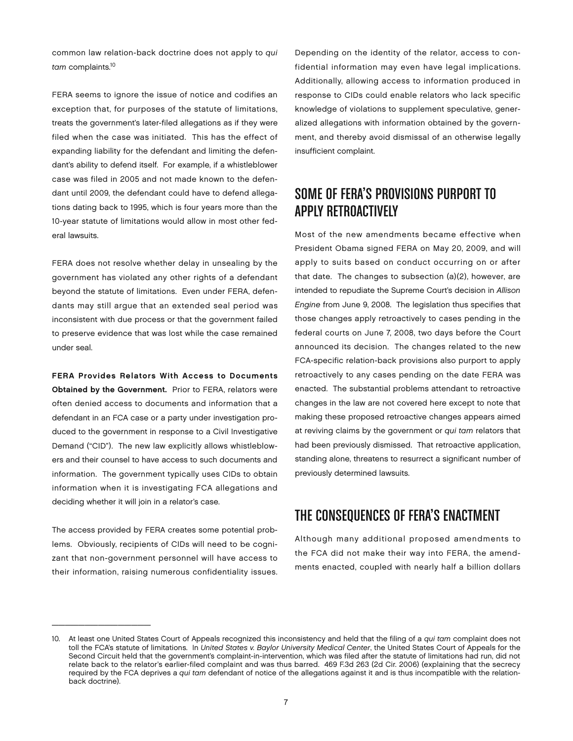common law relation-back doctrine does not apply to qui tam complaints.<sup>10</sup>

FERA seems to ignore the issue of notice and codifies an exception that, for purposes of the statute of limitations, treats the government's later-filed allegations as if they were filed when the case was initiated. This has the effect of expanding liability for the defendant and limiting the defendant's ability to defend itself. For example, if a whistleblower case was filed in 2005 and not made known to the defendant until 2009, the defendant could have to defend allegations dating back to 1995, which is four years more than the 10-year statute of limitations would allow in most other federal lawsuits.

FERA does not resolve whether delay in unsealing by the government has violated any other rights of a defendant beyond the statute of limitations. Even under FERA, defendants may still argue that an extended seal period was inconsistent with due process or that the government failed to preserve evidence that was lost while the case remained under seal.

FERA Provides Relators With Access to Documents Obtained by the Government. Prior to FERA, relators were often denied access to documents and information that a defendant in an FCA case or a party under investigation produced to the government in response to a Civil Investigative Demand ("CID"). The new law explicitly allows whistleblowers and their counsel to have access to such documents and information. The government typically uses CIDs to obtain information when it is investigating FCA allegations and deciding whether it will join in a relator's case.

The access provided by FERA creates some potential problems. Obviously, recipients of CIDs will need to be cognizant that non-government personnel will have access to their information, raising numerous confidentiality issues.

 $\frac{1}{2}$  ,  $\frac{1}{2}$  ,  $\frac{1}{2}$  ,  $\frac{1}{2}$  ,  $\frac{1}{2}$  ,  $\frac{1}{2}$  ,  $\frac{1}{2}$  ,  $\frac{1}{2}$  ,  $\frac{1}{2}$  ,  $\frac{1}{2}$  ,  $\frac{1}{2}$  ,  $\frac{1}{2}$  ,  $\frac{1}{2}$  ,  $\frac{1}{2}$  ,  $\frac{1}{2}$  ,  $\frac{1}{2}$  ,  $\frac{1}{2}$  ,  $\frac{1}{2}$  ,  $\frac{1$ 

Depending on the identity of the relator, access to confidential information may even have legal implications. Additionally, allowing access to information produced in response to CIDs could enable relators who lack specific knowledge of violations to supplement speculative, generalized allegations with information obtained by the government, and thereby avoid dismissal of an otherwise legally insufficient complaint.

#### Some of FERA's Provisions Purport to Apply Retroactively

Most of the new amendments became effective when President Obama signed FERA on May 20, 2009, and will apply to suits based on conduct occurring on or after that date. The changes to subsection (a)(2), however, are intended to repudiate the Supreme Court's decision in Allison Engine from June 9, 2008. The legislation thus specifies that those changes apply retroactively to cases pending in the federal courts on June 7, 2008, two days before the Court announced its decision. The changes related to the new FCA-specific relation-back provisions also purport to apply retroactively to any cases pending on the date FERA was enacted. The substantial problems attendant to retroactive changes in the law are not covered here except to note that making these proposed retroactive changes appears aimed at reviving claims by the government or qui tam relators that had been previously dismissed. That retroactive application, standing alone, threatens to resurrect a significant number of previously determined lawsuits.

#### The Consequences of FERA's Enactment

Although many additional proposed amendments to the FCA did not make their way into FERA, the amendments enacted, coupled with nearly half a billion dollars

<sup>10.</sup> At least one United States Court of Appeals recognized this inconsistency and held that the filing of a qui tam complaint does not toll the FCA's statute of limitations. In United States v. Baylor University Medical Center, the United States Court of Appeals for the Second Circuit held that the government's complaint-in-intervention, which was filed after the statute of limitations had run, did not relate back to the relator's earlier-filed complaint and was thus barred. 469 F.3d 263 (2d Cir. 2006) (explaining that the secrecy required by the FCA deprives a qui tam defendant of notice of the allegations against it and is thus incompatible with the relationback doctrine).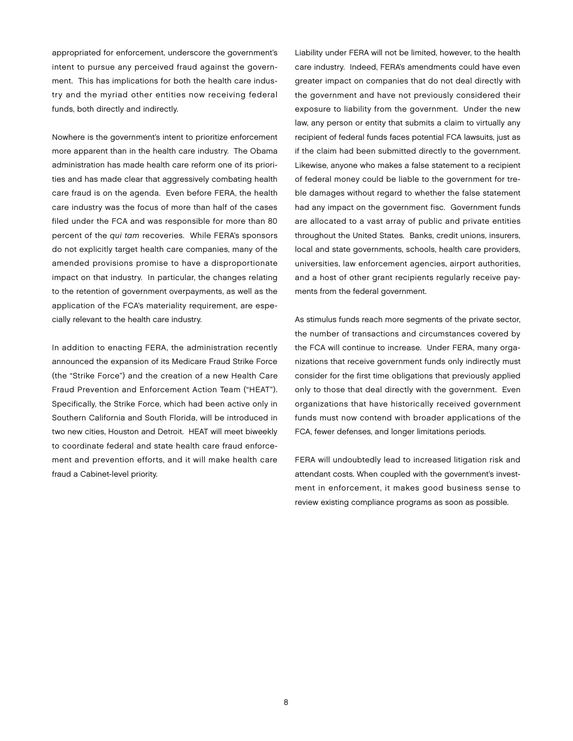appropriated for enforcement, underscore the government's intent to pursue any perceived fraud against the government. This has implications for both the health care industry and the myriad other entities now receiving federal funds, both directly and indirectly.

Nowhere is the government's intent to prioritize enforcement more apparent than in the health care industry. The Obama administration has made health care reform one of its priorities and has made clear that aggressively combating health care fraud is on the agenda. Even before FERA, the health care industry was the focus of more than half of the cases filed under the FCA and was responsible for more than 80 percent of the qui tam recoveries. While FERA's sponsors do not explicitly target health care companies, many of the amended provisions promise to have a disproportionate impact on that industry. In particular, the changes relating to the retention of government overpayments, as well as the application of the FCA's materiality requirement, are especially relevant to the health care industry.

In addition to enacting FERA, the administration recently announced the expansion of its Medicare Fraud Strike Force (the "Strike Force") and the creation of a new Health Care Fraud Prevention and Enforcement Action Team ("HEAT"). Specifically, the Strike Force, which had been active only in Southern California and South Florida, will be introduced in two new cities, Houston and Detroit. HEAT will meet biweekly to coordinate federal and state health care fraud enforcement and prevention efforts, and it will make health care fraud a Cabinet-level priority.

Liability under FERA will not be limited, however, to the health care industry. Indeed, FERA's amendments could have even greater impact on companies that do not deal directly with the government and have not previously considered their exposure to liability from the government. Under the new law, any person or entity that submits a claim to virtually any recipient of federal funds faces potential FCA lawsuits, just as if the claim had been submitted directly to the government. Likewise, anyone who makes a false statement to a recipient of federal money could be liable to the government for treble damages without regard to whether the false statement had any impact on the government fisc. Government funds are allocated to a vast array of public and private entities throughout the United States. Banks, credit unions, insurers, local and state governments, schools, health care providers, universities, law enforcement agencies, airport authorities, and a host of other grant recipients regularly receive payments from the federal government.

As stimulus funds reach more segments of the private sector, the number of transactions and circumstances covered by the FCA will continue to increase. Under FERA, many organizations that receive government funds only indirectly must consider for the first time obligations that previously applied only to those that deal directly with the government. Even organizations that have historically received government funds must now contend with broader applications of the FCA, fewer defenses, and longer limitations periods.

FERA will undoubtedly lead to increased litigation risk and attendant costs. When coupled with the government's investment in enforcement, it makes good business sense to review existing compliance programs as soon as possible.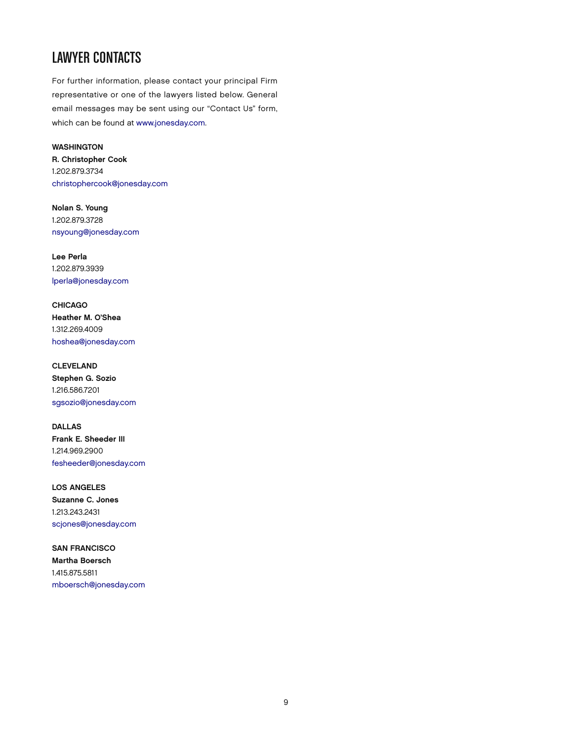## LAWYER CONTACTS

For further information, please contact your principal Firm representative or one of the lawyers listed below. General email messages may be sent using our "Contact Us" form, which can be found at [www.jonesday.com.](http://www.jonesday.com) 

**WASHINGTON** R. Christopher Cook 1.202.879.3734 [christophercook@jonesday.com](mailto:christophercook@jonesday.com)

Nolan S. Young 1.202.879.3728 [nsyoung@jonesday.com](mailto:nsyoung@jonesday.com)

Lee Perla 1.202.879.3939 [lperla@jonesday.com](mailto:lperla@jonesday.com)

**CHICAGO** Heather M. O'Shea 1.312.269.4009 [hoshea@jonesday.com](mailto:hoshea@jonesday.com)

CLEVELAND Stephen G. Sozio 1.216.586.7201 [sgsozio@jonesday.com](mailto:sgsozio@jonesday.com)

DALLAS Frank E. Sheeder III 1.214.969.2900 [fesheeder@jonesday.com](mailto:fesheeder@jonesday.com)

LOS ANGELES Suzanne C. Jones 1.213.243.2431 [scjones@jonesday.com](mailto:scjones@jonesday.com)

SAN FRANCISCO Martha Boersch 1.415.875.5811 [mboersch@jonesday.com](mailto:mboersch@jonesday.com)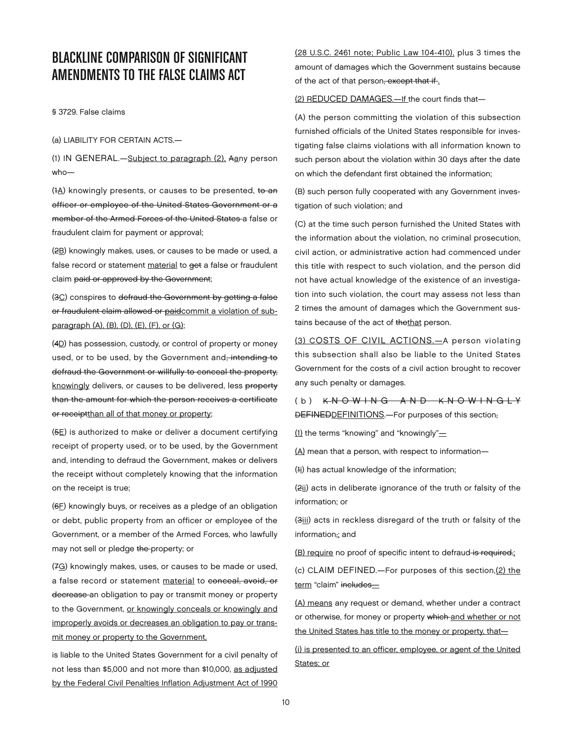#### BLACKLINE COMPARISON OF SIGNIFICANT AMENDMENTS TO THE FALSE CLAIMS ACT

§ 3729. False claims

(a) LIABILITY FOR CERTAIN ACTS.—

(1) IN GENERAL.—Subject to paragraph (2), Aany person who—

(1A) knowingly presents, or causes to be presented, to an officer or employee of the United States Government or a member of the Armed Forces of the United States a false or fraudulent claim for payment or approval;

(2B) knowingly makes, uses, or causes to be made or used, a false record or statement material to get a false or fraudulent claim paid or approved by the Government;

(3C) conspires to defraud the Government by getting a false or fraudulent claim allowed or paidcommit a violation of subparagraph (A), (B), (D), (E), (F), or (G);

(4D) has possession, custody, or control of property or money used, or to be used, by the Government and, intending to defraud the Government or willfully to conceal the property, knowingly delivers, or causes to be delivered, less property than the amount for which the person receives a certificate or receiptthan all of that money or property;

 $(5E)$  is authorized to make or deliver a document certifying receipt of property used, or to be used, by the Government and, intending to defraud the Government, makes or delivers the receipt without completely knowing that the information on the receipt is true;

(6F) knowingly buys, or receives as a pledge of an obligation or debt, public property from an officer or employee of the Government, or a member of the Armed Forces, who lawfully may not sell or pledge the property; or

(7G) knowingly makes, uses, or causes to be made or used, a false record or statement material to conceal, avoid, or decrease an obligation to pay or transmit money or property to the Government, or knowingly conceals or knowingly and improperly avoids or decreases an obligation to pay or transmit money or property to the Government,

is liable to the United States Government for a civil penalty of not less than \$5,000 and not more than \$10,000, as adjusted by the Federal Civil Penalties Inflation Adjustment Act of 1990

(28 U.S.C. 2461 note; Public Law 104-410), plus 3 times the amount of damages which the Government sustains because of the act of that person, except that if.

#### (2) REDUCED DAMAGES.—If the court finds that—

(A) the person committing the violation of this subsection furnished officials of the United States responsible for investigating false claims violations with all information known to such person about the violation within 30 days after the date on which the defendant first obtained the information;

(B) such person fully cooperated with any Government investigation of such violation; and

(C) at the time such person furnished the United States with the information about the violation, no criminal prosecution, civil action, or administrative action had commenced under this title with respect to such violation, and the person did not have actual knowledge of the existence of an investigation into such violation, the court may assess not less than 2 times the amount of damages which the Government sustains because of the act of thethat person.

(3) COSTS OF CIVIL ACTIONS.—A person violating this subsection shall also be liable to the United States Government for the costs of a civil action brought to recover any such penalty or damages.

(b) K N O W I N G A N D K N O W I N G L Y DEFINEDDEFINITIONS.—For purposes of this section,

(1) the terms "knowing" and "knowingly" $=$ 

(A) mean that a person, with respect to information—

(1i) has actual knowledge of the information;

(2ii) acts in deliberate ignorance of the truth or falsity of the information; or

(3iii) acts in reckless disregard of the truth or falsity of the information: and

(B) require no proof of specific intent to defraud-is required.;

(c) CLAIM DEFINED.—For purposes of this section,(2) the term "claim" includes-

(A) means any request or demand, whether under a contract or otherwise, for money or property which and whether or not the United States has title to the money or property, that—

(i) is presented to an officer, employee, or agent of the United States; or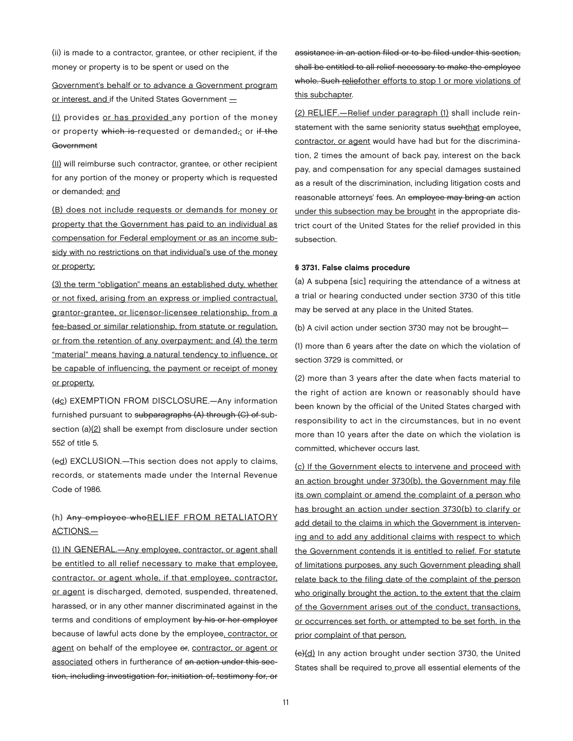(ii) is made to a contractor, grantee, or other recipient, if the money or property is to be spent or used on the

Government's behalf or to advance a Government program or interest, and if the United States Government  $=$ 

(I) provides or has provided any portion of the money or property which is requested or demanded, or if the **Government** 

(II) will reimburse such contractor, grantee, or other recipient for any portion of the money or property which is requested or demanded; and

(B) does not include requests or demands for money or property that the Government has paid to an individual as compensation for Federal employment or as an income subsidy with no restrictions on that individual's use of the money or property;

(3) the term "obligation" means an established duty, whether or not fixed, arising from an express or implied contractual, grantor-grantee, or licensor-licensee relationship, from a fee-based or similar relationship, from statute or regulation, or from the retention of any overpayment; and (4) the term "material" means having a natural tendency to influence, or be capable of influencing, the payment or receipt of money or property.

(dc) EXEMPTION FROM DISCLOSURE.—Any information furnished pursuant to subparagraphs (A) through (C) of subsection (a)(2) shall be exempt from disclosure under section 552 of title 5.

(ed) EXCLUSION.—This section does not apply to claims, records, or statements made under the Internal Revenue Code of 1986.

#### (h) Any employee whoRELIEF FROM RETALIATORY ACTIONS.—

(1) IN GENERAL.—Any employee, contractor, or agent shall be entitled to all relief necessary to make that employee, contractor, or agent whole, if that employee, contractor, or agent is discharged, demoted, suspended, threatened, harassed, or in any other manner discriminated against in the terms and conditions of employment by his or her employer because of lawful acts done by the employee, contractor, or agent on behalf of the employee or, contractor, or agent or associated others in furtherance of an action under this section, including investigation for, initiation of, testimony for, or

assistance in an action filed or to be filed under this section, shall be entitled to all relief necessary to make the employee whole. Such reliefother efforts to stop 1 or more violations of this subchapter.

(2) RELIEF.—Relief under paragraph (1) shall include reinstatement with the same seniority status suchthat employee, contractor, or agent would have had but for the discrimination, 2 times the amount of back pay, interest on the back pay, and compensation for any special damages sustained as a result of the discrimination, including litigation costs and reasonable attorneys' fees. An employee may bring an action under this subsection may be brought in the appropriate district court of the United States for the relief provided in this subsection.

#### § 3731. False claims procedure

(a) A subpena [sic] requiring the attendance of a witness at a trial or hearing conducted under section 3730 of this title may be served at any place in the United States.

(b) A civil action under section 3730 may not be brought—

(1) more than 6 years after the date on which the violation of section 3729 is committed, or

(2) more than 3 years after the date when facts material to the right of action are known or reasonably should have been known by the official of the United States charged with responsibility to act in the circumstances, but in no event more than 10 years after the date on which the violation is committed, whichever occurs last.

(c) If the Government elects to intervene and proceed with an action brought under 3730(b), the Government may file its own complaint or amend the complaint of a person who has brought an action under section 3730(b) to clarify or add detail to the claims in which the Government is intervening and to add any additional claims with respect to which the Government contends it is entitled to relief. For statute of limitations purposes, any such Government pleading shall relate back to the filing date of the complaint of the person who originally brought the action, to the extent that the claim of the Government arises out of the conduct, transactions, or occurrences set forth, or attempted to be set forth, in the prior complaint of that person.

(c)(d) In any action brought under section 3730, the United States shall be required to prove all essential elements of the